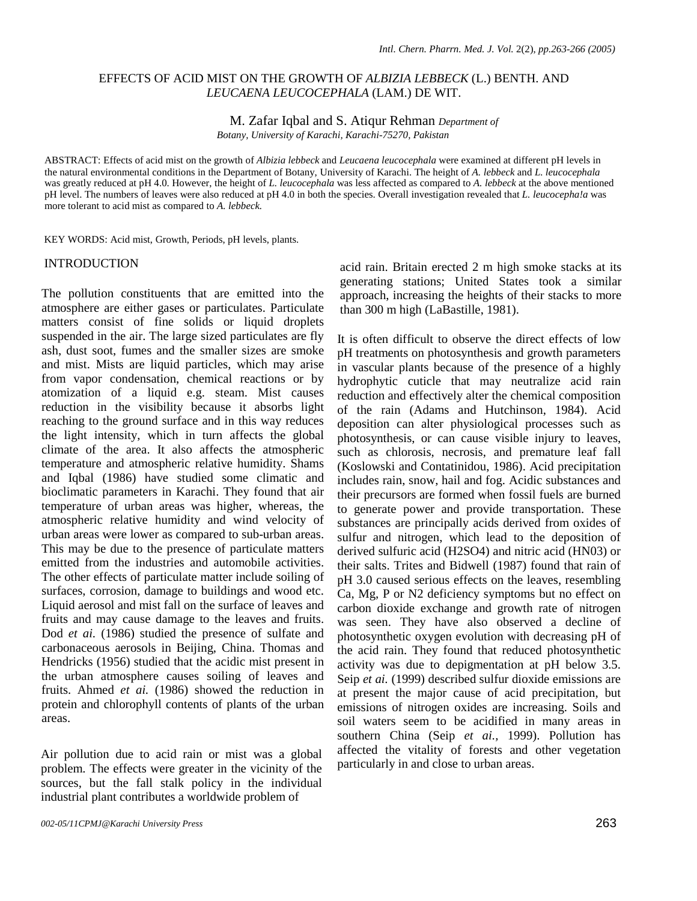# EFFECTS OF ACID MIST ON THE GROWTH OF *ALBIZIA LEBBECK* (L.) BENTH. AND *LEUCAENA LEUCOCEPHALA* (LAM.) DE WIT.

## M. Zafar Iqbal and S. Atiqur Rehman *Department of Botany, University of Karachi, Karachi-75270, Pakistan*

ABSTRACT: Effects of acid mist on the growth of *Albizia lebbeck* and *Leucaena leucocephala* were examined at different pH levels in the natural environmental conditions in the Department of Botany, University of Karachi. The height of *A. lebbeck* and *L. leucocephala*  was greatly reduced at pH 4.0. However, the height of *L. leucocephala* was less affected as compared to *A. lebbeck* at the above mentioned pH level. The numbers of leaves were also reduced at pH 4.0 in both the species. Overall investigation revealed that *L. leucocepha!a* was more tolerant to acid mist as compared to *A. lebbeck.*

KEY WORDS: Acid mist, Growth, Periods, pH levels, plants.

## INTRODUCTION

The pollution constituents that are emitted into the atmosphere are either gases or particulates. Particulate matters consist of fine solids or liquid droplets suspended in the air. The large sized particulates are fly ash, dust soot, fumes and the smaller sizes are smoke and mist. Mists are liquid particles, which may arise from vapor condensation, chemical reactions or by atomization of a liquid e.g. steam. Mist causes reduction in the visibility because it absorbs light reaching to the ground surface and in this way reduces the light intensity, which in turn affects the global climate of the area. It also affects the atmospheric temperature and atmospheric relative humidity. Shams and Iqbal (1986) have studied some climatic and bioclimatic parameters in Karachi. They found that air temperature of urban areas was higher, whereas, the atmospheric relative humidity and wind velocity of urban areas were lower as compared to sub-urban areas. This may be due to the presence of particulate matters emitted from the industries and automobile activities. The other effects of particulate matter include soiling of surfaces, corrosion, damage to buildings and wood etc. Liquid aerosol and mist fall on the surface of leaves and fruits and may cause damage to the leaves and fruits. Dod *et ai.* (1986) studied the presence of sulfate and carbonaceous aerosols in Beijing, China. Thomas and Hendricks (1956) studied that the acidic mist present in the urban atmosphere causes soiling of leaves and fruits. Ahmed *et ai.* (1986) showed the reduction in protein and chlorophyll contents of plants of the urban areas.

Air pollution due to acid rain or mist was a global problem. The effects were greater in the vicinity of the sources, but the fall stalk policy in the individual industrial plant contributes a worldwide problem of

acid rain. Britain erected 2 m high smoke stacks at its generating stations; United States took a similar approach, increasing the heights of their stacks to more than 300 m high (LaBastille, 1981).

It is often difficult to observe the direct effects of low pH treatments on photosynthesis and growth parameters in vascular plants because of the presence of a highly hydrophytic cuticle that may neutralize acid rain reduction and effectively alter the chemical composition of the rain (Adams and Hutchinson, 1984). Acid deposition can alter physiological processes such as photosynthesis, or can cause visible injury to leaves, such as chlorosis, necrosis, and premature leaf fall (Koslowski and Contatinidou, 1986). Acid precipitation includes rain, snow, hail and fog. Acidic substances and their precursors are formed when fossil fuels are burned to generate power and provide transportation. These substances are principally acids derived from oxides of sulfur and nitrogen, which lead to the deposition of derived sulfuric acid (H2SO4) and nitric acid (HN03) or their salts. Trites and Bidwell (1987) found that rain of pH 3.0 caused serious effects on the leaves, resembling Ca, Mg, P or N2 deficiency symptoms but no effect on carbon dioxide exchange and growth rate of nitrogen was seen. They have also observed a decline of photosynthetic oxygen evolution with decreasing pH of the acid rain. They found that reduced photosynthetic activity was due to depigmentation at pH below 3.5. Seip *et ai.* (1999) described sulfur dioxide emissions are at present the major cause of acid precipitation, but emissions of nitrogen oxides are increasing. Soils and soil waters seem to be acidified in many areas in southern China (Seip *et ai.,* 1999). Pollution has affected the vitality of forests and other vegetation particularly in and close to urban areas.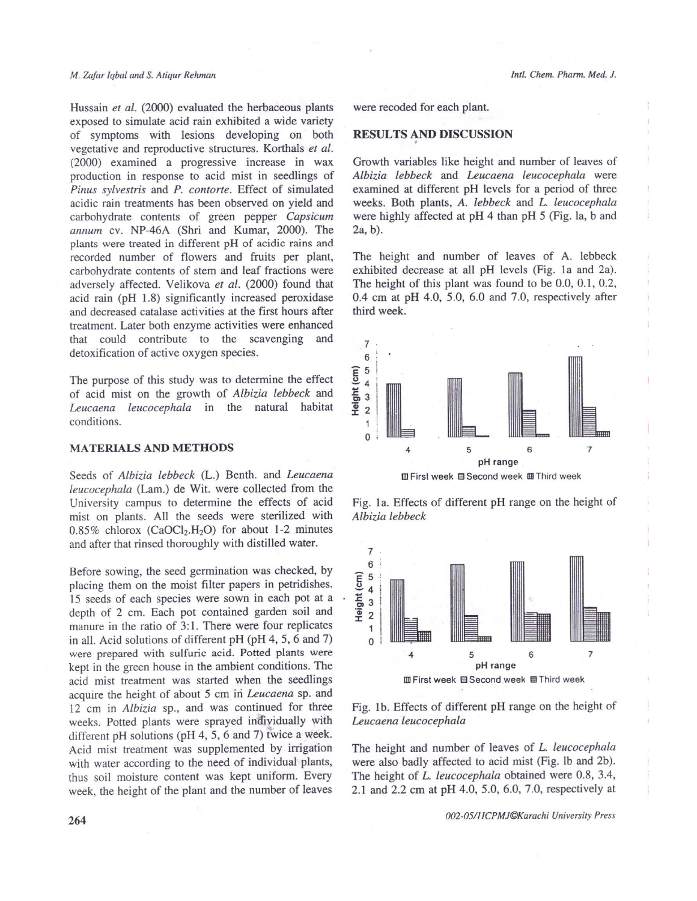#### M. Zafar Igbal and S. Atiqur Rehman

Hussain et al. (2000) evaluated the herbaceous plants exposed to simulate acid rain exhibited a wide variety of symptoms with lesions developing on both vegetative and reproductive structures. Korthals et al. (2000) examined a progressive increase in wax production in response to acid mist in seedlings of Pinus sylvestris and P. contorte. Effect of simulated acidic rain treatments has been observed on yield and carbohydrate contents of green pepper Capsicum annum cv. NP-46A (Shri and Kumar, 2000). The plants were treated in different pH of acidic rains and recorded number of flowers and fruits per plant, carbohydrate contents of stem and leaf fractions were adversely affected. Velikova et al. (2000) found that acid rain (pH 1.8) significantly increased peroxidase and decreased catalase activities at the first hours after treatment. Later both enzyme activities were enhanced that could contribute to the scavenging and detoxification of active oxygen species.

The purpose of this study was to determine the effect of acid mist on the growth of Albizia lebbeck and Leucaena leucocephala in the natural habitat conditions.

### **MATERIALS AND METHODS**

Seeds of Albizia lebbeck (L.) Benth. and Leucaena leucocephala (Lam.) de Wit. were collected from the University campus to determine the effects of acid mist on plants. All the seeds were sterilized with 0.85% chlorox (CaOCl<sub>2</sub>.H<sub>2</sub>O) for about 1-2 minutes and after that rinsed thoroughly with distilled water.

Before sowing, the seed germination was checked, by placing them on the moist filter papers in petridishes. 15 seeds of each species were sown in each pot at a depth of 2 cm. Each pot contained garden soil and manure in the ratio of 3:1. There were four replicates in all. Acid solutions of different pH (pH 4, 5, 6 and 7) were prepared with sulfuric acid. Potted plants were kept in the green house in the ambient conditions. The acid mist treatment was started when the seedlings acquire the height of about 5 cm in Leucaena sp. and 12 cm in Albizia sp., and was continued for three weeks. Potted plants were sprayed individually with different pH solutions (pH 4, 5, 6 and 7) twice a week. Acid mist treatment was supplemented by irrigation with water according to the need of individual plants, thus soil moisture content was kept uniform. Every week, the height of the plant and the number of leaves

were recoded for each plant.

# **RESULTS AND DISCUSSION**

Growth variables like height and number of leaves of Albizia lebbeck and Leucaena leucocephala were examined at different pH levels for a period of three weeks. Both plants, A. lebbeck and L. leucocephala were highly affected at pH 4 than pH 5 (Fig. la, b and  $2a, b$ ).

The height and number of leaves of A. lebbeck exhibited decrease at all pH levels (Fig. 1a and 2a). The height of this plant was found to be 0.0, 0.1, 0.2,  $0.4 \text{ cm}$  at pH 4.0, 5.0, 6.0 and 7.0, respectively after third week.







Fig. 1b. Effects of different pH range on the height of Leucaena leucocephala

The height and number of leaves of L. leucocephala were also badly affected to acid mist (Fig. lb and 2b). The height of L. leucocephala obtained were 0.8, 3.4, 2.1 and 2.2 cm at pH 4.0, 5.0, 6.0, 7.0, respectively at

002-05/11CPMJ©Karachi University Press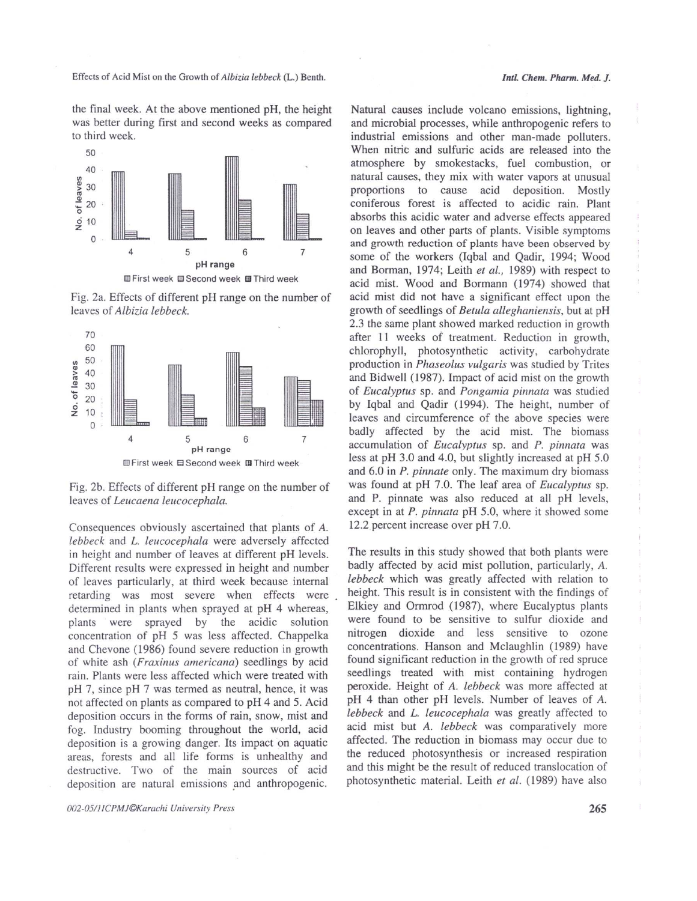Effects of Acid Mist on the Growth of Albizia lebbeck (L.) Benth.

the final week. At the above mentioned pH, the height was better during first and second weeks as compared to third week.



Fig. 2a. Effects of different pH range on the number of leaves of Albizia lebbeck.



Fig. 2b. Effects of different pH range on the number of leaves of Leucaena leucocephala.

Consequences obviously ascertained that plants of A. lebbeck and L. leucocephala were adversely affected in height and number of leaves at different pH levels. Different results were expressed in height and number of leaves particularly, at third week because internal retarding was most severe when effects were determined in plants when sprayed at pH 4 whereas, plants were sprayed by the acidic solution concentration of pH 5 was less affected. Chappelka and Chevone (1986) found severe reduction in growth of white ash (Fraxinus americana) seedlings by acid rain. Plants were less affected which were treated with pH 7, since pH 7 was termed as neutral, hence, it was not affected on plants as compared to pH 4 and 5. Acid deposition occurs in the forms of rain, snow, mist and fog. Industry booming throughout the world, acid deposition is a growing danger. Its impact on aquatic areas, forests and all life forms is unhealthy and destructive. Two of the main sources of acid deposition are natural emissions and anthropogenic.

002-05/11CPMJ©Karachi University Press

Natural causes include volcano emissions, lightning, and microbial processes, while anthropogenic refers to industrial emissions and other man-made polluters. When nitric and sulfuric acids are released into the atmosphere by smokestacks, fuel combustion, or natural causes, they mix with water vapors at unusual proportions to cause acid deposition. Mostly coniferous forest is affected to acidic rain. Plant absorbs this acidic water and adverse effects appeared on leaves and other parts of plants. Visible symptoms and growth reduction of plants have been observed by some of the workers (Iqbal and Qadir, 1994; Wood and Borman, 1974; Leith et al., 1989) with respect to acid mist. Wood and Bormann (1974) showed that acid mist did not have a significant effect upon the growth of seedlings of Betula alleghaniensis, but at pH 2.3 the same plant showed marked reduction in growth after 11 weeks of treatment. Reduction in growth, chlorophyll, photosynthetic activity, carbohydrate production in Phaseolus vulgaris was studied by Trites and Bidwell (1987). Impact of acid mist on the growth of Eucalyptus sp. and Pongamia pinnata was studied by Igbal and Qadir (1994). The height, number of leaves and circumference of the above species were badly affected by the acid mist. The biomass accumulation of *Eucalyptus* sp. and *P. pinnata* was less at pH 3.0 and 4.0, but slightly increased at pH 5.0 and 6.0 in *P. pinnate* only. The maximum dry biomass was found at pH 7.0. The leaf area of *Eucalyptus* sp. and P. pinnate was also reduced at all pH levels, except in at P. pinnata pH 5.0, where it showed some 12.2 percent increase over pH 7.0.

The results in this study showed that both plants were badly affected by acid mist pollution, particularly, A. lebbeck which was greatly affected with relation to height. This result is in consistent with the findings of Elkiey and Ormrod (1987), where Eucalyptus plants were found to be sensitive to sulfur dioxide and nitrogen dioxide and less sensitive to ozone concentrations. Hanson and Mclaughlin (1989) have found significant reduction in the growth of red spruce seedlings treated with mist containing hydrogen peroxide. Height of A. lebbeck was more affected at pH 4 than other pH levels. Number of leaves of A. lebbeck and L. leucocephala was greatly affected to acid mist but A. lebbeck was comparatively more affected. The reduction in biomass may occur due to the reduced photosynthesis or increased respiration and this might be the result of reduced translocation of photosynthetic material. Leith et al. (1989) have also

265